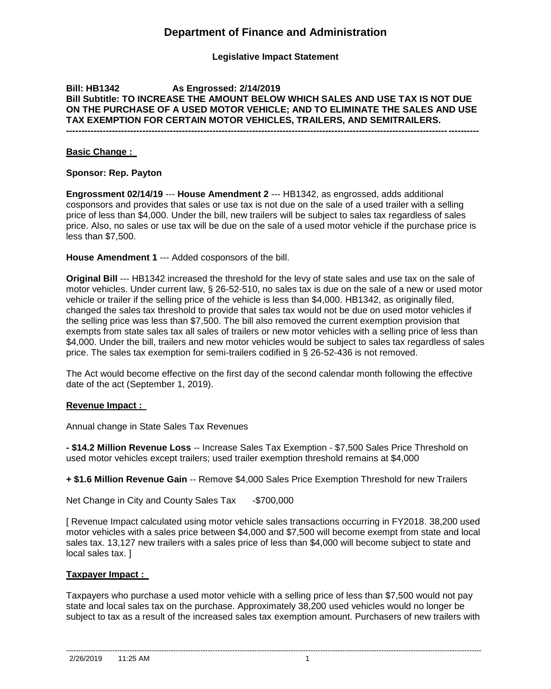# **Department of Finance and Administration**

## **Legislative Impact Statement**

# **Bill: HB1342 As Engrossed: 2/14/2019 Bill Subtitle: TO INCREASE THE AMOUNT BELOW WHICH SALES AND USE TAX IS NOT DUE ON THE PURCHASE OF A USED MOTOR VEHICLE; AND TO ELIMINATE THE SALES AND USE TAX EXEMPTION FOR CERTAIN MOTOR VEHICLES, TRAILERS, AND SEMITRAILERS.**

**---------------------------------------------------------------------------------------------------------------------------------------**

#### **Basic Change :**

### **Sponsor: Rep. Payton**

**Engrossment 02/14/19** --- **House Amendment 2** --- HB1342, as engrossed, adds additional cosponsors and provides that sales or use tax is not due on the sale of a used trailer with a selling price of less than \$4,000. Under the bill, new trailers will be subject to sales tax regardless of sales price. Also, no sales or use tax will be due on the sale of a used motor vehicle if the purchase price is less than \$7,500.

**House Amendment 1** --- Added cosponsors of the bill.

**Original Bill** --- HB1342 increased the threshold for the levy of state sales and use tax on the sale of motor vehicles. Under current law, § 26-52-510, no sales tax is due on the sale of a new or used motor vehicle or trailer if the selling price of the vehicle is less than \$4,000. HB1342, as originally filed, changed the sales tax threshold to provide that sales tax would not be due on used motor vehicles if the selling price was less than \$7,500. The bill also removed the current exemption provision that exempts from state sales tax all sales of trailers or new motor vehicles with a selling price of less than \$4,000. Under the bill, trailers and new motor vehicles would be subject to sales tax regardless of sales price. The sales tax exemption for semi-trailers codified in § 26-52-436 is not removed.

The Act would become effective on the first day of the second calendar month following the effective date of the act (September 1, 2019).

#### **Revenue Impact :**

Annual change in State Sales Tax Revenues

**- \$14.2 Million Revenue Loss** -- Increase Sales Tax Exemption - \$7,500 Sales Price Threshold on used motor vehicles except trailers; used trailer exemption threshold remains at \$4,000

**+ \$1.6 Million Revenue Gain** -- Remove \$4,000 Sales Price Exemption Threshold for new Trailers

Net Change in City and County Sales Tax -\$700,000

[ Revenue Impact calculated using motor vehicle sales transactions occurring in FY2018. 38,200 used motor vehicles with a sales price between \$4,000 and \$7,500 will become exempt from state and local sales tax. 13,127 new trailers with a sales price of less than \$4,000 will become subject to state and local sales tax. ]

## **Taxpayer Impact :**

Taxpayers who purchase a used motor vehicle with a selling price of less than \$7,500 would not pay state and local sales tax on the purchase. Approximately 38,200 used vehicles would no longer be subject to tax as a result of the increased sales tax exemption amount. Purchasers of new trailers with